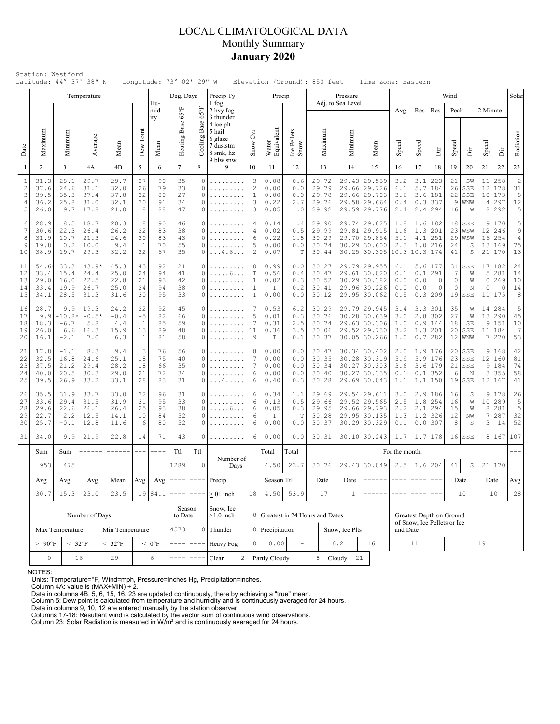## LOCAL CLIMATOLOGICAL DATA Monthly Summary **January 2020**

|                                           |                                      |                                           | Temperature                             |                                      |                                       |                            | Deg. Days                  |                                    | Precip Ty                                                |                                                             | Precip                               |                                 |                                |                                           | Pressure                |                                                                                                                                                                                                                                                                                                                                                                                              |                                  |                                  |                                         | Wind                              |                                    |                           |                                            | Solar                                        |
|-------------------------------------------|--------------------------------------|-------------------------------------------|-----------------------------------------|--------------------------------------|---------------------------------------|----------------------------|----------------------------|------------------------------------|----------------------------------------------------------|-------------------------------------------------------------|--------------------------------------|---------------------------------|--------------------------------|-------------------------------------------|-------------------------|----------------------------------------------------------------------------------------------------------------------------------------------------------------------------------------------------------------------------------------------------------------------------------------------------------------------------------------------------------------------------------------------|----------------------------------|----------------------------------|-----------------------------------------|-----------------------------------|------------------------------------|---------------------------|--------------------------------------------|----------------------------------------------|
|                                           |                                      |                                           |                                         |                                      |                                       | Hu-<br>mid-<br>ity         |                            | $65^{\circ}$ F                     | 1 fog<br>2 hvy fog<br>3 thunder<br>4 ice plt             |                                                             |                                      |                                 |                                |                                           | Adj. to Sea Level       |                                                                                                                                                                                                                                                                                                                                                                                              | Avg                              | Res                              | Res                                     | Peak                              |                                    | 2 Minute                  |                                            |                                              |
| Date                                      | Maximum                              | Minimum                                   | Average                                 | Mean                                 | Dew Point                             | Mean                       | Heating Base 65°F          | Base<br>Cooling 1                  | 5 hail<br>6 glaze<br>7 duststm<br>8 smk, hz<br>9 blw snw | $\overline{C}$<br>Snow                                      | Water<br>Equivalent                  | Ice Pellets<br>Snow             |                                | Maximum                                   | Minimum                 | Mean                                                                                                                                                                                                                                                                                                                                                                                         | Speed                            | Speed                            | ă                                       | Speed                             | ă                                  | Speed                     | İ                                          | Radiation                                    |
| 1                                         | $\overline{2}$                       | 3                                         | 4A                                      | 4B                                   | 5                                     | 6                          | $\tau$                     | 8                                  | 9                                                        | 10                                                          | 11                                   | 12                              |                                | 13                                        | 14                      | 15                                                                                                                                                                                                                                                                                                                                                                                           | 16                               | 17                               | 18                                      | 19                                | 20                                 | 21                        | 22                                         | 23                                           |
| $\mathbf{1}$<br>$\sqrt{2}$<br>3<br>4<br>5 | 31.3<br>37.6<br>39.5<br>36.2<br>26.0 | 28.1<br>24.6<br>35.3<br>25.8<br>9.7       | 29.7<br>31.1<br>37.4<br>31.0<br>17.8    | 29.7<br>32.0<br>37.8<br>32.1<br>21.0 | 27<br>26<br>32<br>30<br>18            | 90<br>79<br>80<br>91<br>88 | 35<br>33<br>27<br>34<br>47 | $\circ$<br>0<br>$\circ$<br>O<br>0  | .<br>.                                                   | 3<br>$\mathbf{2}$<br>$\mathbf{1}$<br>3<br>3                 | 0.08<br>0.00<br>0.00<br>0.22<br>0.05 | 0.6<br>0.0<br>0.0<br>2.7<br>1.0 |                                | 29.72<br>29.79<br>29.78<br>29.76<br>29.92 | 29.43<br>29.66<br>29.58 | 29.539<br>29.726<br>29.66 29.703<br>29.664<br>29.59 29.776                                                                                                                                                                                                                                                                                                                                   | 3.2<br>6.1<br>3.6<br>0.4<br>2.4  | 3.1<br>5.7<br>3.6<br>0.3<br>2.4  | 223<br>184<br>181<br>337<br>294         | 21<br>26<br>22<br>9<br>16         | SW<br>SSE<br>SSE<br>WNW<br>W       | 11<br>12<br>10<br>4<br>8  | 258<br>178<br>173<br>297<br>292            | $2\vert$<br>31<br>8<br>$12\,$<br>$\mathbf 5$ |
| 6<br>7<br>8<br>9<br>10                    | 28.9<br>30.6<br>31.9<br>19.8<br>38.9 | 8.5<br>22.3<br>10.7<br>0.2<br>19.7        | 18.7<br>26.4<br>21.3<br>10.0<br>29.3    | 20.3<br>26.2<br>24.6<br>9.4<br>32.2  | 18<br>22<br>20<br>$\mathbf{1}$<br>22  | 90<br>83<br>83<br>70<br>67 | 46<br>38<br>43<br>55<br>35 | O<br>0<br>O<br>0<br>0              | .<br>. 4 . 6                                             | 4<br>$\overline{4}$<br>6<br>5<br>$\overline{c}$             | 0.14<br>0.02<br>0.22<br>0.00<br>0.07 | 1.4<br>0.5<br>1.8<br>0.0<br>T   |                                | 29.90<br>29.99<br>30.29<br>30.74<br>30.44 | 29.70<br>30.29<br>30.25 | 29.74 29.825<br>29.81 29.915<br>29.854<br>30.600<br>30.305                                                                                                                                                                                                                                                                                                                                   | 1.8<br>1.6<br>5.1<br>2.3<br>10.3 | 1.6<br>1.3<br>4.1<br>1.0<br>10.3 | 182<br>201<br>251<br>216<br>174         | 18<br>23<br>29<br>24<br>41        | SSE<br>WSW<br>WSW<br>S<br>S        | 9<br>12<br>16<br>13<br>21 | 170<br>246<br>254<br>169<br>170            | 5<br>$\,9$<br>$\overline{4}$<br>75<br>13     |
| 11<br>12<br>13<br>14<br>15                | 54.6<br>33.4<br>29.0<br>33.4<br>34.1 | 33.3<br>15.4<br>16.0<br>19.9<br>28.5      | $43.9*$<br>24.4<br>22.5<br>26.7<br>31.3 | 45.3<br>25.0<br>22.8<br>25.0<br>31.6 | 43<br>24<br>21<br>24<br>30            | 92<br>94<br>93<br>94<br>95 | 21<br>41<br>42<br>38<br>33 | $\circ$<br>$\Omega$<br>0<br>0<br>0 | . 6<br>.<br>.                                            | $\circ$<br>T<br>$\mathbf{1}$<br>$\mathbf{1}$<br>$\mathbb T$ | 0.99<br>0.56<br>0.02<br>T<br>0.00    | 0.0<br>0.4<br>0.3<br>0.2<br>0.0 |                                | 30.27<br>30.47<br>30.52<br>30.41<br>30.12 |                         | 29.79 29.955<br>29.61 30.020<br>30.29 30.382<br>29.96 30.226<br>29.95 30.062                                                                                                                                                                                                                                                                                                                 | 6.1<br>0.1<br>0.0<br>0.0<br>0.5  | 5.6<br>0.1<br>0.0<br>0.0<br>0.3  | 177<br>291<br>$\circ$<br>0<br> 209      | 31<br>7<br>$\mathbb O$<br>0<br>19 | SSE<br>W<br>W<br>N<br>$_{\tt SSE}$ | 17<br>5<br>0<br>0<br>11   | 182<br>281<br>269<br>$\overline{0}$<br>175 | 24<br>14<br>10<br>14<br>8                    |
| 16<br>17<br>18<br>19<br>20                | 28.7<br>9.9<br>18.3<br>26.0<br>16.1  | 9.9<br>$-10.8$<br>$-6.7$<br>6.6<br>$-2.1$ | 19.3<br>$-0.5*$<br>5.8<br>16.3<br>7.0   | 24.2<br>$-0.4$<br>4.4<br>15.9<br>6.3 | 22<br>$-5$<br>1<br>13<br>$\mathbf{1}$ | 92<br>82<br>85<br>89<br>81 | 45<br>66<br>59<br>48<br>58 | O<br>$\circ$<br>O<br>0<br>$\circ$  | .                                                        | 7<br>5<br>7<br>11<br>9                                      | 0.53<br>0.01<br>0.31<br>0.36<br>T    | 6.2<br>0.3<br>2.5<br>3.5<br>0.1 |                                | 30.29<br>30.76<br>30.74<br>30.06<br>30.37 | 30.28                   | 29.79 29.945<br>30.639<br>29.63 30.306<br>29.52 29.730<br>30.05 30.266                                                                                                                                                                                                                                                                                                                       | 3.4<br>3.0<br>1.0<br>3.2<br>1.0  | 3.3<br>2.8<br>0.9<br>1.3         | 301<br>302<br>144<br>201<br>$0.7$   282 | 35<br>27<br>18<br>20<br>12        | W<br>W<br>SE<br>SSE<br>WNW         | 14<br>13<br>9<br>11<br>7  | 284<br>290<br>151<br>184<br>270            | 5<br>45<br>10<br>7<br>53                     |
| 21<br>22<br>23<br>24<br>25                | 17.8<br>32.5<br>37.5<br>40.0<br>39.5 | $-1.1$<br>16.8<br>21.2<br>20.5<br>26.9    | 8.3<br>24.6<br>29.4<br>30.3<br>33.2     | 9.4<br>25.1<br>28.2<br>29.0<br>33.1  | 3<br>18<br>18<br>21<br>28             | 76<br>75<br>66<br>72<br>83 | 56<br>40<br>35<br>34<br>31 | 0<br>O<br>$\circ$<br>O<br>0        | . 4                                                      | 8<br>7<br>7<br>6<br>6                                       | 0.00<br>0.00<br>0.00<br>0.00<br>0.40 | 0.0<br>0.0<br>0.0<br>0.0<br>0.3 |                                | 30.47<br>30.35<br>30.34<br>30.40<br>30.28 | 30.28<br>30.27<br>30.27 | 30.34 30.402<br>30.319<br>30.303<br>30.335<br>29.69 30.043                                                                                                                                                                                                                                                                                                                                   | 2.0<br>5.9<br>3.6<br>0.1<br>1.1  | 1.9<br>5.9<br>3.6<br>0.1         | 176<br>176<br>179<br>352<br>$1.1$   150 | 20<br>23<br>21<br>6<br>19         | SSE<br>SSE<br>SSE<br>N<br>SSE      | 9<br>12<br>9<br>3<br>12   | 168<br>160<br>184<br>355<br>167            | 42<br>81<br>74<br>58<br>41                   |
| 26<br>27<br>28<br>29<br>30                | 35.5<br>33.6<br>29.6<br>22.7<br>25.7 | 31.9<br>29.4<br>22.6<br>2.2<br>$-0.1$     | 33.7<br>31.5<br>26.1<br>12.5<br>12.8    | 33.0<br>31.9<br>26.4<br>14.1<br>11.6 | 32<br>31<br>25<br>10<br>6             | 96<br>95<br>93<br>84<br>80 | 31<br>33<br>38<br>52<br>52 | O<br>0<br>O<br>0<br>O              | . 6                                                      | 6<br>6<br>6<br>6<br>6                                       | 0.34<br>0.13<br>0.05<br>Т<br>0.00    | 1.1<br>0.5<br>0.3<br>Т<br>0.0   |                                | 29.69<br>29.66<br>29.95<br>30.28<br>30.37 | 29.52<br>29.95          | 29.54 29.611<br>29.565<br>29.66 29.793<br>30.135<br>30.29 30.329                                                                                                                                                                                                                                                                                                                             | 3.0<br>2.5<br>2.2<br>1.3<br>0.1  | 2.9<br>1.8<br>2.1<br>1.2<br>0.0  | 186<br>254<br>294<br>326<br>307         | 16<br>16<br>15<br>12<br>8         | S<br>W<br>W<br>NW<br>S             | 9<br>10<br>8<br>7<br>3    | 178<br>289<br>281<br>287<br>14             | 26<br>5'<br>$\mathsf S$<br>32<br>52          |
| 31                                        | 34.0                                 | 9.9                                       | 21.9                                    | 22.8                                 | 14                                    | 71                         | 43                         | 0                                  |                                                          | 6                                                           | 0.00                                 | 0.0                             |                                | 30.31                                     |                         | 30.10 30.243                                                                                                                                                                                                                                                                                                                                                                                 | 1.7                              |                                  | $1.7$   178                             | 16                                | SSE                                | 8                         | 167                                        | 107                                          |
|                                           | Sum                                  | Sum                                       | ------                                  | $- - - - - -$                        | $---$                                 |                            | Ttl                        | Ttl                                | Number of                                                |                                                             | Total                                | Total                           |                                |                                           |                         |                                                                                                                                                                                                                                                                                                                                                                                              | For the month:                   |                                  |                                         |                                   |                                    |                           |                                            |                                              |
|                                           | 953                                  |                                           | 475<br>Mean                             |                                      |                                       |                            | 1289                       | $\mathbf 0$                        | Days                                                     |                                                             | 4.50                                 | 23.7                            |                                | 30.76                                     |                         | 29.43 30.049                                                                                                                                                                                                                                                                                                                                                                                 | 2.5                              | 1.6                              | 204                                     | 41                                | $\mathbb S$                        | 21                        | 170                                        |                                              |
|                                           | Avg<br>30.7                          | Avg<br>15.3                               | Avg<br>23.0                             | Avg                                  | Avg                                   | $--- -$                    | $\cdots$ $\cdots$ $\cdots$ | Precip                             | 18                                                       | Season Ttl<br>4.50                                          | 53.9                                 |                                 | Date<br>17                     | Date<br>$\mathbf{1}$                      | -------                 | $\frac{1}{2} \frac{1}{2} \frac{1}{2} \frac{1}{2} \frac{1}{2} \frac{1}{2} \frac{1}{2} \frac{1}{2} \frac{1}{2} \frac{1}{2} \frac{1}{2} \frac{1}{2} \frac{1}{2} \frac{1}{2} \frac{1}{2} \frac{1}{2} \frac{1}{2} \frac{1}{2} \frac{1}{2} \frac{1}{2} \frac{1}{2} \frac{1}{2} \frac{1}{2} \frac{1}{2} \frac{1}{2} \frac{1}{2} \frac{1}{2} \frac{1}{2} \frac{1}{2} \frac{1}{2} \frac{1}{2} \frac{$ | $- - - -$                        | $---$                            |                                         | Date<br>10                        |                                    | Date<br>10                | Avg<br>28                                  |                                              |
|                                           | 23.5<br>Number of Days               |                                           |                                         |                                      |                                       | 19 84.1                    |                            | Season<br>to Date                  | $> 01$ inch<br>Snow, Ice<br>$\geq$ 1.0 inch              | 8                                                           |                                      |                                 | Greatest in 24 Hours and Dates |                                           |                         |                                                                                                                                                                                                                                                                                                                                                                                              | Greatest Depth on Ground         |                                  |                                         |                                   |                                    |                           |                                            |                                              |
|                                           | Max Temperature<br>Min Temperature   |                                           |                                         |                                      |                                       |                            | 4573                       | $\mathbf 0$                        | Thunder                                                  |                                                             | 0 Precipitation                      |                                 | Snow, Ice Plts                 |                                           |                         | of Snow, Ice Pellets or Ice<br>and Date                                                                                                                                                                                                                                                                                                                                                      |                                  |                                  |                                         |                                   |                                    |                           |                                            |                                              |
|                                           | $\geq~90^{\circ}F$                   | $< 32^{\circ}F$                           |                                         | $\leq 0$ °F                          |                                       | $\qquad \qquad - - -$      | Heavy Fog                  | $\circ$                            | 0.00                                                     | $\equiv$                                                    |                                      |                                 | 6.2                            | 16                                        |                         | 11                                                                                                                                                                                                                                                                                                                                                                                           |                                  |                                  |                                         | 19                                |                                    |                           |                                            |                                              |
|                                           | $\mathsf{O}\xspace$                  |                                           | 16                                      | 29<br>6                              |                                       |                            |                            |                                    | Clear<br>$\overline{2}$                                  |                                                             | Partly Cloudy                        |                                 | 8                              |                                           | Cloudy<br>21            |                                                                                                                                                                                                                                                                                                                                                                                              |                                  |                                  |                                         |                                   |                                    |                           |                                            |                                              |

NOTES:

Units: Temperature=°F, Wind=mph, Pressure=Inches Hg, Precipitation=inches. Column 4A: value is (MAX+MIN) ÷ 2. Data in columns 4B, 5, 6, 15, 16, 23 are updated continuously, there by achieving a "true" mean.

Column 5: Dew point is calculated from temperature and humidity and is continuously averaged for 24 hours. Data in columns 9, 10, 12 are entered manually by the station observer.

Columns 17-18: Resultant wind is calculated by the vector sum of continuous wind observations. Column 23: Solar Radiation is measured in W/m² and is continuously averaged for 24 hours.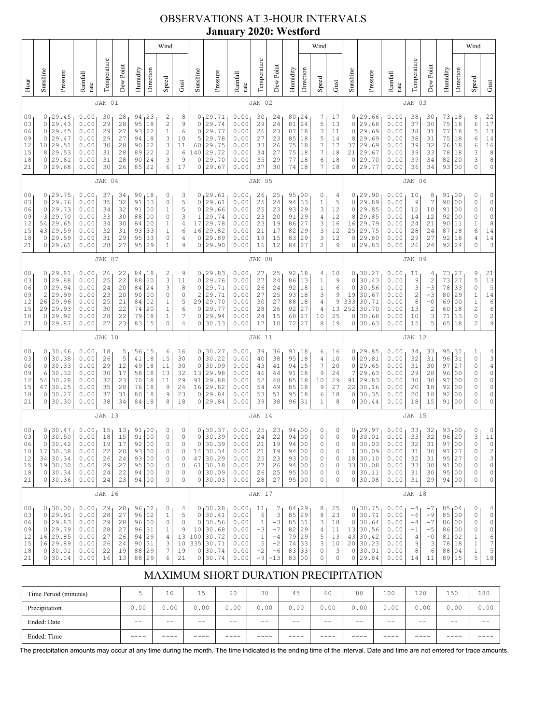## OBSERVATIONS AT 3-HOUR INTERVALS **January 2020: Westford**

|                                                          |                                                                                                                                                                                                                                                                                                                                                                                                                                                                                                      |                                                                              |                                                              |                                              |                                              |                                              |                                                               | Wind                                                                                                 |                                                                                    |                                                                   |                                                                                |                                                              |                                                          |                                                                   |                                                             |                                                                              | Wind                                                                    |                                                                         |                                                              |                                                                                  |                                                              |                                                   |                                                                                              |                                                           |                                                                                                          | Wind                                                                                         |                                                                                                           |
|----------------------------------------------------------|------------------------------------------------------------------------------------------------------------------------------------------------------------------------------------------------------------------------------------------------------------------------------------------------------------------------------------------------------------------------------------------------------------------------------------------------------------------------------------------------------|------------------------------------------------------------------------------|--------------------------------------------------------------|----------------------------------------------|----------------------------------------------|----------------------------------------------|---------------------------------------------------------------|------------------------------------------------------------------------------------------------------|------------------------------------------------------------------------------------|-------------------------------------------------------------------|--------------------------------------------------------------------------------|--------------------------------------------------------------|----------------------------------------------------------|-------------------------------------------------------------------|-------------------------------------------------------------|------------------------------------------------------------------------------|-------------------------------------------------------------------------|-------------------------------------------------------------------------|--------------------------------------------------------------|----------------------------------------------------------------------------------|--------------------------------------------------------------|---------------------------------------------------|----------------------------------------------------------------------------------------------|-----------------------------------------------------------|----------------------------------------------------------------------------------------------------------|----------------------------------------------------------------------------------------------|-----------------------------------------------------------------------------------------------------------|
| Hour                                                     | Sunshine                                                                                                                                                                                                                                                                                                                                                                                                                                                                                             | Pressure                                                                     | Rainfall<br>rate                                             | Temperature                                  | Dew Point                                    | Humidity                                     | Direction                                                     | Speed                                                                                                | Gust                                                                               | Sunshine                                                          | Pressure                                                                       | Rainfall<br>rate                                             | Temperature                                              | Dew Point                                                         | Humidity                                                    | Direction                                                                    | Speed                                                                   | Gust                                                                    | Sunshine                                                     | Pressure                                                                         | Rainfall<br>rate                                             | Temperature                                       | Dew Point                                                                                    | Humidity                                                  | Direction                                                                                                | Speed                                                                                        | Gust                                                                                                      |
|                                                          |                                                                                                                                                                                                                                                                                                                                                                                                                                                                                                      |                                                                              |                                                              | JAN 01                                       |                                              |                                              |                                                               |                                                                                                      |                                                                                    |                                                                   |                                                                                |                                                              | JAN 02                                                   |                                                                   |                                                             |                                                                              |                                                                         |                                                                         |                                                              |                                                                                  |                                                              | JAN 03                                            |                                                                                              |                                                           |                                                                                                          |                                                                                              |                                                                                                           |
| 0 <sub>0</sub><br>03<br>06<br>09<br>12<br>15<br>18<br>21 | 0<br>0<br>0<br>0<br>10<br>8<br>0<br>0                                                                                                                                                                                                                                                                                                                                                                                                                                                                | 29.45<br>29.43<br>29.45<br>29.47<br>29.51<br>29.53<br>29.61<br>29.68         | 0.00<br>0.00<br>0.00<br>0.00<br>0.00<br>0.00<br>0.00<br>0.00 | 30<br>29<br>29<br>29<br>30<br>31<br>31<br>30 | 28<br>28<br>27<br>27<br>28<br>28<br>28<br>26 | 94<br>95<br>93<br>94<br>90<br>89<br>90<br>85 | 23<br>18<br>22<br>18<br>22<br>22<br>24<br>22                  | 2<br>$\overline{c}$<br>$1\,$<br>$\ensuremath{\mathsf{3}}$<br>$\mathsf 3$<br>$\overline{c}$<br>3<br>6 | 8<br>9<br>6<br>10<br>11<br>6<br>9<br>17                                            | 0<br>0<br>$\circ$<br>5<br>60<br>140<br>0<br>0                     | 29.71<br>29.74<br>29.77<br>29.78<br>29.75<br>29.72<br>29.70<br>29.67           | 0.00<br>0.00<br>0.00<br>0.00<br>0.00<br>0.00<br>0.00<br>0.00 | 30<br>29<br>26<br>27<br>33<br>34<br>35<br>37             | 24<br>24<br>23<br>23<br>26<br>27<br>29<br>30                      | 80<br>81<br>87<br>85<br>75<br>75<br>77<br>74                | 24<br>24<br>18<br>18<br>18<br>18<br>18<br>18                                 | 7<br>5<br>3<br>5<br>$\boldsymbol{7}$<br>7<br>6<br>7                     | 17<br>13<br>11<br>14<br>17<br>18<br>18<br>18                            | 0<br>0<br>0<br>8<br>37<br>21<br>0<br>0                       | 29.66<br>29.68<br>29.69<br>29.69<br>29.69<br>29.67<br>29.70<br>29.77             | 0.00<br>0.00<br>0.00<br>0.00<br>0.00<br>0.00<br>0.00<br>0.00 | 38<br>37<br>38<br>38<br>39<br>39<br>39<br>36      | 30<br>30<br>31<br>31<br>32<br>33<br>34<br>34                                                 | 73<br>75<br>77<br>75<br>76<br>78<br>82<br>93              | ı 18<br>18<br>18<br>18<br>18<br>18<br>20<br>0 <sub>0</sub>                                               | 8<br>6<br>5<br>6<br>6<br>3<br>3<br>0                                                         | 22<br>17<br>$13\,$<br>$1\,4$<br>$\begin{smallmatrix}1&6\\8\end{smallmatrix}$<br>8<br>$\mathbb O$          |
|                                                          |                                                                                                                                                                                                                                                                                                                                                                                                                                                                                                      |                                                                              |                                                              | JAN 04                                       |                                              |                                              |                                                               |                                                                                                      |                                                                                    |                                                                   |                                                                                |                                                              | JAN 05                                                   |                                                                   |                                                             |                                                                              |                                                                         |                                                                         |                                                              |                                                                                  |                                                              | JAN 06                                            |                                                                                              |                                                           |                                                                                                          |                                                                                              |                                                                                                           |
| 0 <sub>0</sub><br>03<br>06<br>09<br>12<br>15<br>18<br>21 | 0, 29.75<br>0.00<br>34<br>90<br>18<br>0<br>37<br>33<br>0<br>29.76<br>0.00<br>35<br>32<br>91<br>$\circ$<br>0<br>29.73<br>0.00<br>$\mathbbm{1}$<br>34<br>32<br>91<br>0 <sub>0</sub><br>3<br>29.70<br>0.00<br>0 <sub>0</sub><br>0<br>33<br>30<br>88<br>29.65<br>00<br>54<br>0.00<br>34<br>30<br>84<br>$\mathbf 1$<br>29.59<br>33<br>$\mathbf{1}$<br>43<br>0.00<br>32<br>31<br>93<br>29.59<br>29<br>$\circ$<br>0<br>0.00<br>31<br>95<br>33<br>29.61<br>28<br>27<br>95<br>29<br>$\mathbf{1}$<br>0<br>0.00 |                                                                              |                                                              |                                              |                                              |                                              | 3<br>5<br>5<br>3<br>$\sqrt{4}$<br>6<br>4<br>9                 | $\circ$<br>$\circ$<br>1<br>17<br>16<br>0<br>0                                                        | 0, 29.61<br>29.61<br>29.66<br>29.74<br>29.78<br>29.82<br>29.89<br>29.90            | 0.00<br>0.00<br>0.00<br>0.00<br>0.00<br>0.00<br>0.00<br>0.00      | 26<br>25<br>25<br>23<br>23<br>21<br>19<br>16                                   | 25<br>24<br>23<br>20<br>19<br>17<br>15<br>12                 | 95<br>94<br>93<br>91<br>86<br>82<br>83<br>84             | 00 <sub>ا</sub><br>33<br>29<br>29<br>27<br>29<br>29<br>27         | 0<br>$\mathbf 1$<br>3<br>4<br>3<br>3<br>3<br>$\overline{c}$ | 4<br>5<br>12<br>12<br>16<br>12<br>12<br>9                                    | 0<br>0<br>8<br>16<br>25<br>0<br>0                                       | 0, 29.90<br>29.89<br>29.85<br>29.85<br>29.79<br>29.75<br>29.80<br>29.83 | 0.00<br>0.00<br>0.00<br>0.00<br>0.00<br>0.00<br>0.00<br>0.00 | 10<br>9<br>12<br>14<br>24<br>28<br>29<br>26                                      | 8<br>$\overline{7}$<br>10<br>12<br>21<br>24<br>27<br>24      | 91<br>90<br>91<br>92<br>90<br>87<br>92<br>92      | 0 <sub>0</sub><br>0 <sub>0</sub><br>0 <sub>0</sub><br>0 <sub>0</sub><br>11<br>18<br>18<br>24 | 0<br>0<br>0<br>0<br>$\mathbf 1$<br>6<br>4<br>0            | 0<br>$\mathbb O$<br>$\mathbb O$<br>$\mathbb O$<br>$\,$ 8 $\,$<br>14<br>14<br>3                           |                                                                                              |                                                                                                           |
|                                                          | JAN 07                                                                                                                                                                                                                                                                                                                                                                                                                                                                                               |                                                                              |                                                              |                                              |                                              |                                              |                                                               |                                                                                                      |                                                                                    |                                                                   |                                                                                | JAN 08                                                       |                                                          |                                                                   |                                                             |                                                                              |                                                                         |                                                                         |                                                              |                                                                                  | JAN 09                                                       |                                                   |                                                                                              |                                                           |                                                                                                          |                                                                                              |                                                                                                           |
| 00<br>03<br>06<br>09<br>12<br>15<br>18<br>21             | $\circ$<br>0<br>$\mathbf{2}$<br>26<br>29<br>0<br>0                                                                                                                                                                                                                                                                                                                                                                                                                                                   | 0, 29.81<br>29.88<br>29.94<br>29.99<br>29.96<br>29.93<br>29.92<br>29.87      | 0.00<br>0.00<br>0.00<br>0.00<br>0.00<br>0.00<br>0.00<br>0.00 | 26<br>25<br>24<br>23<br>25<br>30<br>28<br>27 | 22<br>22<br>20<br>20<br>21<br>22<br>22<br>23 | 88<br>84<br>90<br>84<br>74<br>79<br>83       | 84   18<br>20<br>24<br>0 <sub>0</sub><br>02<br>20<br>18<br>15 | 2<br>3<br>3<br>$\circ$<br>$\mathbf{1}$<br>$\mathbf{1}$<br>$\mathbbm{1}$<br>$\mathbf{0}$              | 9<br>11<br>8<br>$\circ$<br>5<br>6<br>7<br>$\overline{4}$                           | $\circ$<br>0<br>$\overline{c}$<br>29<br>0<br>0<br>0               | 0, 29.83<br>29.76<br>29.71<br>29.71<br>29.70<br>29.77<br>29.94<br>30.13        | 0.00<br>0.00<br>0.00<br>0.00<br>0.00<br>0.00<br>0.00<br>0.00 | 27<br>27<br>26<br>27<br>30<br>28<br>24<br>17             | 25<br>24<br>24<br>25<br>27<br>26<br>15<br>10                      | 92<br>86<br>92<br>93<br>88<br>92<br>68<br>72                | 18<br>13<br>18<br>18<br>18<br>27<br>27<br>27                                 | 4<br>$1\,$<br>1<br>3<br>4<br>4<br>10<br>8                               | 10<br>9<br>6<br>9<br>9<br>13<br>25<br>19                                | 0<br>0<br>19<br>333<br>252<br>0<br>0                         | 0, 30, 27<br>30.43<br>30.56<br>30.67<br>30.71<br>30.70<br>30.68<br>30.63         | 0.00<br>0.00<br>0.00<br>0.00<br>0.00<br>0.00<br>0.00<br>0.00 | 11<br>9<br>3<br>$\sqrt{2}$<br>8<br>13<br>10<br>15 | 4<br>$\overline{c}$<br>$-3$<br>-3<br>$-0$<br>$\overline{\mathbf{c}}$<br>3<br>5               | 73 <sub>1</sub><br>73<br>78<br>80<br>69<br>60<br>71<br>65 | 27<br>27<br>33<br>29<br>0 <sub>0</sub><br>18<br>13<br>18                                                 | 9<br>5<br>$\mathbb O$<br>$\mathbf 1$<br>$\mathbf 1$<br>$\overline{c}$<br>0<br>$\overline{c}$ | 21<br>13<br>5<br>14<br>6<br>6<br>2<br>9                                                                   |
|                                                          |                                                                                                                                                                                                                                                                                                                                                                                                                                                                                                      |                                                                              |                                                              | <b>JAN 10</b>                                |                                              |                                              |                                                               |                                                                                                      |                                                                                    |                                                                   |                                                                                |                                                              | JAN 11                                                   |                                                                   |                                                             |                                                                              |                                                                         |                                                                         |                                                              |                                                                                  |                                                              | <b>JAN 12</b>                                     |                                                                                              |                                                           |                                                                                                          |                                                                                              |                                                                                                           |
| 00<br>03<br>06<br>09<br>12<br>15<br>18<br>21             | 0<br>0<br>6<br>54<br>47<br>0<br>0                                                                                                                                                                                                                                                                                                                                                                                                                                                                    | 0, 30.46<br>30.38<br>30.33<br>30.32<br>30.28<br>30.25<br>30.27<br>30.30      | 0.00<br>0.00<br>0.00<br>0.00<br>0.00<br>0.00<br>0.00<br>0.00 | 18<br>26<br>29<br>30<br>32<br>35<br>37<br>38 | 5<br>5<br>12<br>17<br>23<br>28<br>31<br>34   | 56<br>41<br>49<br>58<br>70<br>76<br>80<br>84 | 15 ن<br>18<br>18<br>18<br>18<br>18<br>18<br>18                | 6<br>15<br>11<br>13<br>11<br>9<br>9<br>8                                                             | 16<br>30<br>30<br>32<br>29<br>24<br>23<br>18                                       | $\circ$<br>0<br>13<br>91<br>16<br>0<br>0                          | 0, 30.27<br>30.22<br>30.09<br>29.98<br>29.88<br>29.82<br>29.84<br>29.84        | 0.00<br>0.00<br>0.00<br>0.00<br>0.00<br>0.00<br>0.00<br>0.00 | 39<br>40<br>43<br>46<br>52<br>54<br>53<br>39             | 36<br>38<br>41<br>44<br>48<br>49<br>51<br>38                      | 91<br>95<br>94<br>91<br>85<br>85<br>95<br>96                | 18,<br>18<br>15<br>18<br>18<br>18<br>18<br>31                                | 6<br>4<br>7<br>9<br>10<br>9<br>6<br>1                                   | 16<br>10<br>20<br>24<br>29<br>27<br>18<br>8                             | 0<br>0<br>7<br>91<br>22<br>0<br>$\circ$                      | 0, 29.85<br>29.81<br>29.65<br>29.63<br>29.83<br>30.16<br>30.35<br>30.44          | 0.00<br>0.00<br>0.00<br>0.00<br>0.00<br>0.00<br>0.00<br>0.00 | 34<br>32<br>31<br>29<br>30<br>20<br>20<br>18      | 33<br>31<br>30<br>28<br>30<br>18<br>18<br>15                                                 | 95<br>96<br>97<br>96<br>97<br>92<br>92<br>91              | 31<br>31<br>27<br>0 <sub>0</sub><br>0 <sub>0</sub><br>0 <sub>0</sub><br>0 <sub>0</sub><br>0 <sub>0</sub> | 1<br>0<br>0<br>0<br>0<br>0<br>0<br>0                                                         | $\begin{array}{c} 4 \\ 3 \\ 4 \end{array}$<br>$\mathsf{O}\xspace$<br>$\mathbb O$<br>0<br>$\mathbb O$<br>0 |
|                                                          | <b>JAN 13</b>                                                                                                                                                                                                                                                                                                                                                                                                                                                                                        |                                                                              |                                                              |                                              |                                              |                                              |                                                               |                                                                                                      |                                                                                    | JAN 14                                                            |                                                                                |                                                              |                                                          |                                                                   |                                                             |                                                                              |                                                                         |                                                                         | <b>JAN 15</b>                                                |                                                                                  |                                                              |                                                   |                                                                                              |                                                           |                                                                                                          |                                                                                              |                                                                                                           |
| 00<br>03<br>06<br>10<br>12<br>15<br>18<br>21             | 0<br>$\mathsf{O}$<br>17<br>34<br>19<br>$\circ$<br>0                                                                                                                                                                                                                                                                                                                                                                                                                                                  | 0, 30.47<br>30.50<br>30.42<br>30.38<br>30.34<br>30.30<br>30.34<br>30.36      | 0.00<br>0.00<br>0.00<br>0.00<br>0.00<br>0.00<br>0.00<br>0.00 | 15<br>18<br>19<br>22<br>26<br>29<br>24<br>24 | 13<br>15<br>17<br>20<br>24<br>27<br>22<br>23 | 91<br>91<br>92<br>93<br>93<br>95             | 00<br>00<br>00<br>00<br>$0\,0$<br>00<br>94 00<br>94 00        | 0<br>$\mathbb O$<br>$\circ$<br>0<br>$\mathbb O$<br>$\circ$<br>$\circ$<br>0                           | 0<br>$\mathbb O$<br>$\mathbb O$<br>0<br>$\mathbb O$<br>$\circ$<br>$\mathbb O$<br>0 | 0<br>$\mathbb O$<br>$\mathbb O$<br>14<br>47<br>61<br>$\circ$<br>0 | 30.37<br>30.39<br>30.39<br>30.34<br>30.29<br>30.18<br>30.09<br>30.03           | 0.00<br>0.00<br>0.00<br>0.00<br>0.00<br>0.00<br>0.00<br>0.00 | 25<br>24<br>21<br>21<br>25<br>27<br>26<br>28             | 23<br>22<br>19<br>19<br>23<br>26<br>25<br>27                      | 94,00<br>94<br>94<br>94<br>93<br>94<br>95<br>95             | 0 <sub>0</sub><br>00<br>0 <sub>0</sub><br>$00$<br>00<br>0 <sub>0</sub><br>00 | 0<br>$\circ$<br>0<br>0<br>0<br>0<br>0<br>0                              | 0<br>0<br>0<br>0<br>0<br>0<br>0<br>0                                    | 0<br>0<br>$\circ$<br>1<br>18<br>$\circ$<br>$\circ$           | 29.97<br>30.01<br>30.03<br>30.09<br>30.10<br>33 30.08<br>30.11<br>30.08          | 0.00<br>0.00<br>0.00<br>0.00<br>0.00<br>0.00<br>0.00<br>0.00 | 33<br>33<br>32<br>31<br>32<br>33<br>31<br>31      | 32<br>32<br>31<br>30<br>31<br>30<br>30<br>29                                                 | 93<br>96<br>97<br>97<br>95<br>91<br>95<br>94              | 00<br>20<br>0 <sub>0</sub><br>27<br>27<br>0 <sub>0</sub><br>0 <sub>0</sub><br>0 <sub>0</sub>             | 0<br>3<br>0<br>0<br>0<br>0<br>0<br>0                                                         | 0<br>11<br>0<br>$\begin{array}{c}\n2 \\ 3 \\ 0\n\end{array}$<br>$\mathbb O$<br>0                          |
|                                                          |                                                                                                                                                                                                                                                                                                                                                                                                                                                                                                      |                                                                              |                                                              | <b>JAN 16</b>                                |                                              |                                              |                                                               |                                                                                                      |                                                                                    |                                                                   |                                                                                |                                                              | <b>JAN 17</b>                                            |                                                                   |                                                             |                                                                              |                                                                         |                                                                         |                                                              |                                                                                  |                                                              | <b>JAN 18</b>                                     |                                                                                              |                                                           |                                                                                                          |                                                                                              |                                                                                                           |
| 00<br>03<br>06<br>09<br>12<br>15<br>18<br>21             | 0<br>$\circ$<br>16<br>$\circ$<br>0                                                                                                                                                                                                                                                                                                                                                                                                                                                                   | 0, 30.00<br>29.91<br>29.83<br>0 29.79<br>29.85<br>16 29.89<br>30.01<br>30.14 | 0.00<br>0.00<br>0.00<br>0.00<br>0.00<br>0.00<br>0.00<br>0.00 | 29<br>28<br>29<br>28<br>27<br>26<br>22<br>16 | 28<br>27<br>28<br>27<br>26<br>24<br>19<br>13 | 96<br>96<br>96<br>94<br>90<br>88<br>88       | 96   02<br>02<br>00<br>31<br>29<br>31<br>29<br>29             | 0<br>$1\,$<br>$\circ$<br>$\mathbf 1$<br>$\sqrt{4}$<br>3<br>$\boldsymbol{7}$<br>6                     | 4<br>5<br>$\mathbb O$<br>9<br>13<br>$10$<br>19<br>21                               | $\circ$<br>$\circ$<br>100<br>0<br>0                               | 0, 30.28<br>30.41<br>30.56<br>10 30.68<br>30.72<br>335 30.71<br>30.74<br>30.74 | 0.00<br>0.00<br>0.00<br>0.00<br>0.00<br>0.00<br>0.00<br>0.00 | 11<br>6<br>$\,1$<br>$-3$<br>$\,1\,$<br>5<br>$-2$<br>$-9$ | 7<br>$\mathsf 3$<br>$-3$<br>$-7$<br>$-4$<br>$-2$<br>$-6$<br>$-13$ | 84<br>85<br>85<br>82<br>79<br>74<br>83<br>83                | 1 <sup>29</sup><br> 29<br> 31<br>29<br>29<br>33<br>33<br>00                  | 8<br>8<br>3<br>4<br>$\frac{5}{3}$<br>$\mathbb O$<br>$\mathsf{O}\xspace$ | 25<br>23<br>18<br>11<br>13<br>10<br>3<br>0                              | 0<br>0<br>0<br>$\circ$                                       | 130.75<br>30.71<br>30.64<br>13 30.56<br>43 30.42<br>20 30.23<br>30.01<br>0 29.84 | 0.00<br>0.00<br>0.00<br>0.00<br>0.00<br>0.00<br>0.00<br>0.00 | $-4$<br>$-6$<br>$-4$<br>$-1$<br>4<br>9<br>8<br>14 | $-7$<br>$-9$<br>$-7$<br>$-5$<br>$-0$<br>3<br>6<br>11                                         | 85<br>85<br>86<br>86<br>81<br>78<br>88<br>89              | 04<br>0 <sub>0</sub><br>0 <sub>0</sub><br>0 <sub>0</sub><br>02<br>18<br>04<br> 15                        | 0<br>0<br>0<br>0<br>$\,1$<br>$\begin{array}{c} 1 \\ 1 \end{array}$<br>5                      | 4<br>$\mathbb O$<br>$\mathbb O$<br>0<br>$\begin{array}{c} 6 \\ 7 \\ 5 \end{array}$<br>$1\,8$              |

# MAXIMUM SHORT DURATION PRECIPITATION

| Time Period (minutes) |       | 10    | 15    | 20    | 30    | 45   | 60    | 80    | 100   | 120   | 150  | 180   |
|-----------------------|-------|-------|-------|-------|-------|------|-------|-------|-------|-------|------|-------|
| Precipitation         | 0.00  | 0.00  | 0.00  | 0.00  | 0.00  | 0.00 | 0.00  | 0.00  | 0.00  | 0.00  | 0.00 | 0.00  |
| Ended: Date           | $- -$ | $- -$ | $- -$ | $- -$ | $- -$ | $ -$ | $- -$ | $- -$ | $- -$ | $- -$ | $ -$ | $- -$ |
| Ended: Time           | ____  |       |       |       | ----  |      |       |       |       |       |      |       |

The precipitation amounts may occur at any time during the month. The time indicated is the ending time of the interval. Date and time are not entered for trace amounts.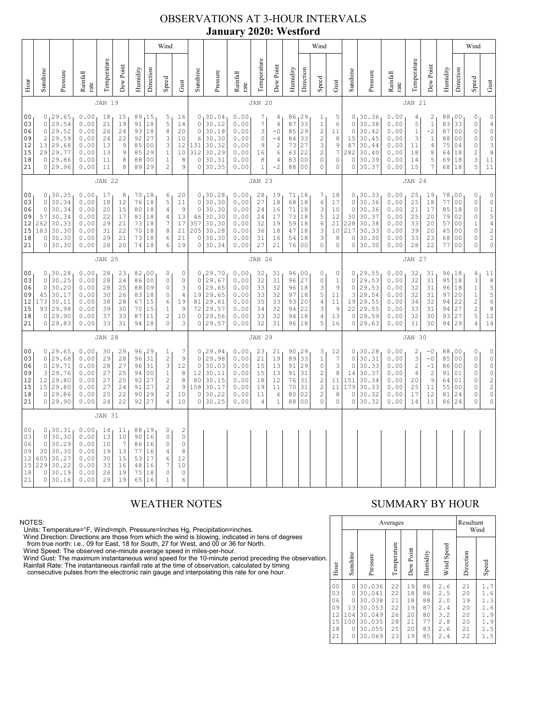### OBSERVATIONS AT 3-HOUR INTERVALS **January 2020: Westford**

|                                                          |                                                                                                                                                                                                                                                                                                                                                                                                                                                                                                                                                                                    |                                                                             | Wind                                                         |                                              |                                              |                                              |                                                                 |                                                                                               |                                                                            |                                                                    |                                                                                                        | Wind                                                         |                                                                |                                                                                             |                                                                                                   |                                                           |                                                                                                      |                                                                              |                                                              |                                                                         | Wind                                                         |                                                                    |                                                                                              |                                                                                              |                                                                                                            |                                                                                                             |                                                                        |
|----------------------------------------------------------|------------------------------------------------------------------------------------------------------------------------------------------------------------------------------------------------------------------------------------------------------------------------------------------------------------------------------------------------------------------------------------------------------------------------------------------------------------------------------------------------------------------------------------------------------------------------------------|-----------------------------------------------------------------------------|--------------------------------------------------------------|----------------------------------------------|----------------------------------------------|----------------------------------------------|-----------------------------------------------------------------|-----------------------------------------------------------------------------------------------|----------------------------------------------------------------------------|--------------------------------------------------------------------|--------------------------------------------------------------------------------------------------------|--------------------------------------------------------------|----------------------------------------------------------------|---------------------------------------------------------------------------------------------|---------------------------------------------------------------------------------------------------|-----------------------------------------------------------|------------------------------------------------------------------------------------------------------|------------------------------------------------------------------------------|--------------------------------------------------------------|-------------------------------------------------------------------------|--------------------------------------------------------------|--------------------------------------------------------------------|----------------------------------------------------------------------------------------------|----------------------------------------------------------------------------------------------|------------------------------------------------------------------------------------------------------------|-------------------------------------------------------------------------------------------------------------|------------------------------------------------------------------------|
| Hour                                                     | Sunshine                                                                                                                                                                                                                                                                                                                                                                                                                                                                                                                                                                           | Pressure                                                                    | Rainfall<br>rate                                             | Temperature                                  | Dew Point                                    | Humidity                                     | Direction                                                       | Speed                                                                                         | Gust                                                                       | Sunshine                                                           | Pressure                                                                                               | Rainfall<br>rate                                             | Temperature                                                    | Dew Point                                                                                   | Humidity                                                                                          | Direction                                                 | Speed                                                                                                | ${\rm Gust}$                                                                 | Sunshine                                                     | Pressure                                                                | Rainfall<br>$_\mathrm{rate}$                                 | Temperature                                                        | Dew Point                                                                                    | Humidity                                                                                     | Direction                                                                                                  | Speed                                                                                                       | Gust                                                                   |
|                                                          |                                                                                                                                                                                                                                                                                                                                                                                                                                                                                                                                                                                    |                                                                             |                                                              | <b>JAN 19</b>                                |                                              |                                              |                                                                 |                                                                                               |                                                                            |                                                                    |                                                                                                        |                                                              | <b>JAN 20</b>                                                  |                                                                                             |                                                                                                   |                                                           |                                                                                                      |                                                                              |                                                              |                                                                         |                                                              | <b>JAN 21</b>                                                      |                                                                                              |                                                                                              |                                                                                                            |                                                                                                             |                                                                        |
| 0 <sub>0</sub><br>03<br>06<br>09<br>12<br>15<br>18<br>21 | 0, 29.65<br>0.00<br>18<br>15<br>89, 15<br>5<br>16<br>5<br>$\mathsf{O}\xspace$<br>29.54<br>0.00<br>21<br>19<br>91<br>18<br>14<br>29.52<br>0.00<br>93<br>$\,$ 8 $\,$<br>20<br>$\circ$<br>26<br>24<br>18<br>27<br>$\overline{c}$<br>29.59<br>0.00<br>$\ensuremath{\mathsf{3}}$<br>24<br>22<br>92<br>10<br>3<br>29.68<br>0.00<br>$\mathsf 9$<br>00<br>12<br>13<br>13<br>85<br>29 29.77<br>9<br>29<br>$\,1\,$<br>$10$<br>0.00<br>13<br>85<br>0 29.86<br>8<br>$1\,$<br>8<br>0.00<br>11<br>88<br>0 <sub>0</sub><br>8<br>29<br>$\sqrt{2}$<br>$\overline{9}$<br>0 29.96<br>0.00<br>11<br>89 |                                                                             |                                                              |                                              |                                              |                                              | $\mathbb O$<br>$\circ$<br>6<br>131<br>312<br>$\circ$<br>$\circ$ | 0, 30.04<br>30.12<br>30.18<br>30.30<br>30.32<br>30.29<br>30.31<br>30.35                       | 0.00<br>0.00<br>0.00<br>0.00<br>0.00<br>0.00<br>0.00<br>0.00               | 7<br>$\overline{7}$<br>3<br>$\circ$<br>9<br>16<br>8<br>$\mathbf 1$ | 4<br>$\overline{4}$<br>$-0$<br>$-4$<br>$\overline{\mathbf{c}}$<br>$\epsilon$<br>$\overline{4}$<br>$-2$ | 86, 29<br>87<br>85<br>84<br>73<br>63<br>83<br>88             | 33<br>29<br>33<br>27<br>22<br>0 <sup>0</sup><br>0 <sub>0</sub> | 1<br>$\,1\,$<br>$\sqrt{2}$<br>$\overline{c}$<br>3<br>$\sqrt{2}$<br>0<br>$\mathsf{O}\xspace$ | 5<br>$\epsilon$<br>11<br>$\,8\,$<br>$\mathsf 9$<br>$\boldsymbol{7}$<br>$\mathbb O$<br>$\mathbb O$ | $\circ$<br>$\circ$<br>15<br>47<br>282<br>$\circ$<br>0     | 0, 30.36<br>30.38<br>30.42<br>30.45<br>30.44<br>30.40<br>30.39<br>30.37                              | 0.00<br>0.00<br>0.00<br>0.00<br>0.00<br>0.00<br>0.00<br>0.00                 | 4<br>5<br>$\,1\,$<br>3<br>11<br>18<br>14<br>15               | 2<br>$\,1\,$<br>$-2$<br>$\mathbf{1}$<br>4<br>8<br>5<br>7                | 88,00<br>83<br>87<br>88<br>75<br>64<br>69<br>68              | 33<br>0 <sub>0</sub><br>0 <sub>0</sub><br>04<br>18<br>18<br>18     | 0<br>$\mathbb O$<br>$\mathbb O$<br>$\circ$<br>$\circ$<br>$\overline{c}$<br>$\mathbf{3}$<br>5 | $\mathbb O$<br>$\begin{array}{c} 4 \\ 0 \end{array}$<br>$\circ$<br>$\frac{3}{8}$<br>11<br>11 |                                                                                                            |                                                                                                             |                                                                        |
|                                                          |                                                                                                                                                                                                                                                                                                                                                                                                                                                                                                                                                                                    |                                                                             |                                                              | <b>JAN 22</b>                                |                                              |                                              |                                                                 |                                                                                               |                                                                            |                                                                    |                                                                                                        |                                                              | <b>JAN 23</b>                                                  |                                                                                             |                                                                                                   |                                                           |                                                                                                      |                                                                              |                                                              |                                                                         |                                                              | <b>JAN 24</b>                                                      |                                                                                              |                                                                                              |                                                                                                            |                                                                                                             |                                                                        |
| 0 <sub>0</sub><br>03<br>06<br>09<br>12<br>15<br>18<br>21 | $\Omega$<br>0<br>57<br>262<br>183<br>0<br>$\circ$                                                                                                                                                                                                                                                                                                                                                                                                                                                                                                                                  | 0, 30.35<br>30.34<br>30.34<br>30.34<br>30.33<br>30.30<br>30.30<br>30.30     | 0.00<br>0.00<br>0.00<br>0.00<br>0.00<br>0.00<br>0.00<br>0.00 | 17<br>18<br>20<br>22<br>29<br>31<br>29<br>28 | 8<br>12<br>15<br>17<br>21<br>22<br>21<br>20  | 76<br>80<br>81<br>73<br>70<br>73<br>74       | 70 18<br>$1\,8$<br>18<br>18<br>18<br>18<br>18<br>18             | 6<br>5<br>$\sqrt{4}$<br>$\sqrt{4}$<br>7<br>8<br>6<br>6                                        | 20<br>11<br>$\overline{9}$<br>13<br>17<br>21<br>21<br>19                   | $\mathbf 0$<br>$\circ$<br>46<br>357<br>205<br>$\mathbb O$<br>0     | 0, 30.28<br>30.30<br>30.30<br>30.30<br>30.30<br>30.28<br>30.30<br>30.34                                | 0.00<br>0.00<br>0.00<br>0.00<br>0.00<br>0.00<br>0.00<br>0.00 | 28<br>27<br>24<br>24<br>32<br>36<br>31<br>27                   | 19<br>18<br>16<br>17<br>19<br>18<br>16<br>21                                                | 71,18<br>68<br>71<br>73<br>59<br>47<br>54<br>76                                                   | 18<br>18<br> 18<br> 18<br>18<br>18<br>0 <sub>0</sub>      | 7<br>6<br>3<br>$\mathbf 5$<br>6<br>3<br>3<br>0                                                       | 18<br>17<br>10<br>12<br>21<br>10<br>8<br>$\mathbb O$                         | $\circ$<br>$\circ$<br>30<br>228<br>217<br>$\circ$<br>$\circ$ | 0, 30.33<br>30.36<br>30.36<br>30.37<br>30.38<br>30.33<br>30.30<br>30.30 | 0.00<br>0.00<br>0.00<br>0.00<br>0.00<br>0.00<br>0.00<br>0.00 | 25<br>25<br>21<br>25<br>33<br>39<br>33<br>28                       | 19<br>18<br>17<br>20<br>20<br>20<br>23<br>22                                                 | 78<br>77<br>85<br>79<br>57<br>45<br>68<br>77                                                 | 00 ا<br>0 <sub>0</sub><br>18<br>02<br>0 <sub>0</sub><br>0 <sub>0</sub><br>0 <sub>0</sub><br>0 <sub>0</sub> | 0<br>$\mathbb O$<br>$\circ$<br>$\circ$<br>$\mathbf{1}$<br>$\circ$<br>$\mathbb O$<br>$\Omega$                | 00154220                                                               |
|                                                          | <b>JAN 25</b>                                                                                                                                                                                                                                                                                                                                                                                                                                                                                                                                                                      |                                                                             |                                                              |                                              |                                              |                                              |                                                                 |                                                                                               |                                                                            |                                                                    |                                                                                                        | <b>JAN 26</b>                                                |                                                                |                                                                                             |                                                                                                   |                                                           |                                                                                                      |                                                                              |                                                              |                                                                         | <b>JAN 27</b>                                                |                                                                    |                                                                                              |                                                                                              |                                                                                                            |                                                                                                             |                                                                        |
| 00<br>03<br>06<br>09<br>12<br>15<br>18<br>21             | $\circ$<br>$\circ$<br>45<br>173<br>93<br>0                                                                                                                                                                                                                                                                                                                                                                                                                                                                                                                                         | 0, 30.28<br>30.25<br>30.20<br>30.17<br>30.11<br>29.98<br>29.90<br>0 29.83   | 0.00<br>0.00<br>0.00<br>0.00<br>0.00<br>0.00<br>0.00<br>0.00 | 28<br>28<br>28<br>30<br>38<br>39<br>37<br>33 | 23<br>24<br>25<br>26<br>28<br>30<br>33<br>31 | 86<br>88<br>83<br>67<br>70<br>87<br>94       | 82,00<br>0 <sub>0</sub><br>09<br>18<br>15<br>15<br>11<br>18     | 0<br>$\circ$<br>$\mathbb O$<br>$\mathbb O$<br>$\epsilon$<br>$\,1\,$<br>$\sqrt{2}$<br>$\circ$  | 0<br>$\mathbb O$<br>3<br>$\overline{4}$<br>19<br>$\overline{9}$<br>10<br>3 | $\mathbb O$<br>$\mathbf 0$<br>19<br>81<br>72<br>0<br>0             | 0, 29.70<br>29.67<br>29.65<br>29.65<br>29.61<br>29.57<br>29.56<br>29.57                                | 0.00<br>0.00<br>0.00<br>0.00<br>0.00<br>0.00<br>0.00<br>0.00 | 32<br>32<br>33<br>33<br>35<br>34<br>33<br>32                   | 31<br>31<br>32<br>32<br>33<br>32<br>32<br>31                                                | 96,00<br>96<br>96<br>97<br>93<br>94<br>94<br>96 18                                                | 27<br>18<br>18<br>20<br>22<br>18                          | 0<br>$\mathbb O$<br>3<br>5<br>$\overline{4}$<br>3<br>$\sqrt{4}$<br>5                                 | 0<br>$\mathbf{1}$<br>$\mathfrak{g}$<br>11<br>11<br>9<br>13<br>16             | $\circ$<br>$\circ$<br>3<br>19<br>22<br>0<br>$\circ$          | 0, 29.55<br>29.53<br>29.53<br>29.54<br>29.55<br>29.55<br>29.59<br>29.63 | 0.00<br>0.00<br>0.00<br>0.00<br>0.00<br>0.00<br>0.00<br>0.00 | 32<br>32<br>32<br>32<br>34<br>33<br>32<br>31                       | 31<br>31<br>31<br>31<br>32<br>31<br>30<br>30                                                 | 96,18<br>95 18<br>96<br>97<br>94<br>94<br>93<br>94                                           | 18<br>20<br>22<br>27<br>27<br>29                                                                           | 4<br>$\ensuremath{\mathsf{3}}$<br>$\bar{1}$<br>$\mathbf 1$<br>$\sqrt{2}$<br>$\frac{2}{5}$<br>$\overline{4}$ | $\begin{array}{r} 11 \\ 8 \\ 5 \\ 5 \\ 6 \end{array}$<br>8<br>12<br>14 |
|                                                          |                                                                                                                                                                                                                                                                                                                                                                                                                                                                                                                                                                                    |                                                                             |                                                              | <b>JAN 28</b>                                |                                              |                                              |                                                                 |                                                                                               |                                                                            |                                                                    |                                                                                                        |                                                              | <b>JAN 29</b>                                                  |                                                                                             |                                                                                                   |                                                           |                                                                                                      |                                                                              |                                                              |                                                                         |                                                              | JAN 30                                                             |                                                                                              |                                                                                              |                                                                                                            |                                                                                                             |                                                                        |
| 00<br>03<br>06<br>09<br>12<br>15<br>18<br>21             | $\circ$<br>$\circ$<br>3<br>12<br>15                                                                                                                                                                                                                                                                                                                                                                                                                                                                                                                                                | 0, 29.65<br>29.68<br>29.71<br>29.76<br>29.80<br>29.80<br>0 29.86<br>0 29.90 | 0.00<br>0.00<br>0.00<br>0.00<br>0.00<br>0.00<br>0.00<br>0.00 | 30<br>29<br>28<br>27<br>27<br>27<br>25<br>24 | 29<br>28<br>27<br>25<br>25<br>24<br>22<br>22 | 96<br>96<br>96<br>94<br>92<br>91<br>90<br>92 | 29<br>31<br>31<br>0 <sub>0</sub><br>27<br>27<br>29<br>27        | 1<br>$\overline{c}$<br>3<br>$\,1$<br>$\sqrt{2}$<br>$\sqrt{2}$<br>$\sqrt{2}$<br>$\overline{4}$ | 7<br>9<br>12<br>8<br>$\,8\,$<br>9<br>10<br>10                              | $\circ$<br>$\mathbf 0$<br>12<br>80<br>158<br>$\circ$<br>$\circ$    | 0, 29.94<br>29.98<br>30.03<br>30.11<br>30.15<br>30.17<br>30.22<br>30.25                                | 0.00<br>0.00<br>0.00<br>0.00<br>0.00<br>0.00<br>0.00<br>0.00 | 23<br>21<br>15<br>15<br>18<br>19<br>11<br>$\sqrt{4}$           | 21<br>19<br>13<br>13<br>12<br>11<br>6<br>$\,1\,$                                            | 90<br>89<br>91<br>91<br>76<br>70<br>80<br>88                                                      | 129<br>33<br>29<br>31<br>31<br>31<br>02<br>0 <sub>0</sub> | 3<br>$\,1$<br>$\mathbb O$<br>$\sqrt{2}$<br>$\overline{c}$<br>$\overline{c}$<br>$\sqrt{2}$<br>$\circ$ | 12<br>$\boldsymbol{7}$<br>3<br>$\,8\,$<br>11<br>11<br>$\,8\,$<br>$\mathbb O$ | 0<br>$\circ$<br>$\circ$<br>14<br>151<br>179<br>$\circ$<br>0  | 30.28<br>30.31<br>30.33<br>30.37<br>30.34<br>30.33<br>30.32<br>30.32    | 0.00<br>0.00<br>0.00<br>0.00<br>0.00<br>0.00<br>0.00<br>0.00 | 2<br>3<br>$\overline{c}$<br>$\overline{4}$<br>20<br>25<br>17<br>14 | $-0$<br>$-0$<br>$-1$<br>$\overline{c}$<br>9<br>11<br>12<br>11                                | 88<br>85<br>86<br>91<br>64<br>55<br>81<br>86                                                 | 00 ا<br>0 <sub>0</sub><br>0 <sub>0</sub><br>01<br>01<br>0 <sub>0</sub><br>24<br>24                         | 0<br>$\mathbb O$<br>$\circ$<br>$\circ$<br>$\circ$<br>$\circ$<br>$\circ$<br>$\circ$                          | $\begin{matrix} 0 \\ 0 \end{matrix}$<br>$0$ $0$ $2$ $0$<br>$\circ$     |
|                                                          |                                                                                                                                                                                                                                                                                                                                                                                                                                                                                                                                                                                    |                                                                             |                                                              | <b>JAN 31</b>                                |                                              |                                              |                                                                 |                                                                                               |                                                                            |                                                                    |                                                                                                        |                                                              |                                                                |                                                                                             |                                                                                                   |                                                           |                                                                                                      |                                                                              |                                                              |                                                                         |                                                              |                                                                    |                                                                                              |                                                                                              |                                                                                                            |                                                                                                             |                                                                        |
| 00<br>03<br>06<br>09<br>12<br>15<br>18<br>21             | $\circ$<br>$\circ$<br>30<br>605<br>229<br>$\circ$<br>$\circ$                                                                                                                                                                                                                                                                                                                                                                                                                                                                                                                       | 0, 30.31<br>30.30<br>30.29<br>30.30<br>30.27<br>30.22<br>30.19<br>30.16     | 0.00<br>0.00<br>0.00<br>0.00<br>0.00<br>0.00<br>0.00<br>0.00 | 14<br>13<br>10<br>19<br>30<br>33<br>26<br>29 | 11<br>10<br>7<br>13<br>15<br>16<br>19<br>19  | 88<br>90<br>86<br>77<br>53<br>48<br>75<br>65 | 19<br>16<br>16<br>16<br>17<br>16<br>18<br>16                    | 0<br>$\mathbb O$<br>$\mathbb O$<br>4<br>6<br>7<br>$\circ$<br>$\overline{1}$                   | $\overline{c}$<br>$\circ$<br>$\circ$<br>8<br>12<br>10<br>$\circ$<br>6      |                                                                    |                                                                                                        |                                                              |                                                                |                                                                                             |                                                                                                   |                                                           |                                                                                                      |                                                                              |                                                              |                                                                         |                                                              |                                                                    |                                                                                              |                                                                                              |                                                                                                            |                                                                                                             |                                                                        |

# WEATHER NOTES SUMMARY BY HOUR

NOTES:<br>Units: Temperature=°F, Wind=mph, Pressure=Inches Hg, Precipitation=inches.<br>Units: Temperature=°F, Wind=mph, Pressure=Inches Hg, Precipitation=inches.<br>
Yind Direction: Directions are those from which the wind is blow

|    |                                                          |                                                        | Resultant<br>Wind                                                            |                                              |                                              |                                              |                                                      |                                              |                                                      |
|----|----------------------------------------------------------|--------------------------------------------------------|------------------------------------------------------------------------------|----------------------------------------------|----------------------------------------------|----------------------------------------------|------------------------------------------------------|----------------------------------------------|------------------------------------------------------|
| n. | Hour                                                     | Sunshine                                               | Pressure                                                                     | Temperature                                  | Dew Point                                    | Humidity                                     | Wind Speed                                           | Direction                                    | Speed                                                |
|    | 0 <sub>0</sub><br>03<br>06<br>09<br>12<br>15<br>18<br>21 | $\circ$<br>0<br>0<br>13<br>104<br>100<br>0<br>$\Omega$ | 30.036<br>30.041<br>30.038<br>30.053<br>30.049<br>30.035<br>30.055<br>30.069 | 22<br>22<br>21<br>22<br>26<br>28<br>25<br>23 | 19<br>18<br>18<br>19<br>20<br>21<br>20<br>19 | 86<br>86<br>88<br>87<br>80<br>77<br>83<br>85 | 2.6<br>2.5<br>2.0<br>2.4<br>3.2<br>2.8<br>2.6<br>2.4 | 21<br>20<br>19<br>20<br>20<br>20<br>21<br>22 | 1.7<br>1.6<br>1.3<br>1.6<br>1.9<br>1.9<br>1.5<br>1.5 |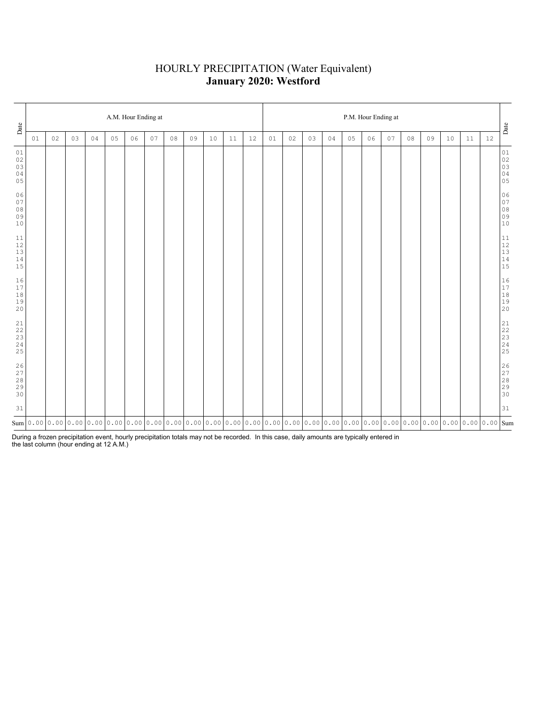# HOURLY PRECIPITATION (Water Equivalent) **January 2020: Westford**

| Date                                 | A.M. Hour Ending at                                                                                                                                                                                                                 |    |    |    |    |    |    |        |    |      |    |    |    | P.M. Hour Ending at |    |    |    |    |    |    |    |    |    |        |                                                                 |  |  |
|--------------------------------------|-------------------------------------------------------------------------------------------------------------------------------------------------------------------------------------------------------------------------------------|----|----|----|----|----|----|--------|----|------|----|----|----|---------------------|----|----|----|----|----|----|----|----|----|--------|-----------------------------------------------------------------|--|--|
|                                      | 01                                                                                                                                                                                                                                  | 02 | 03 | 04 | 05 | 06 | 07 | $0\,8$ | 09 | $10$ | 11 | 12 | 01 | 02                  | 03 | 04 | 05 | 06 | 07 | 08 | 09 | 10 | 11 | $12\,$ | Date                                                            |  |  |
| 01<br>$0\,2$<br>$03$<br>$0\,4$<br>05 |                                                                                                                                                                                                                                     |    |    |    |    |    |    |        |    |      |    |    |    |                     |    |    |    |    |    |    |    |    |    |        | $0\,1$<br>$02$<br>$03$<br>$04$<br>$05$                          |  |  |
| 06<br>$0\,7$<br>$0\,8$<br>09<br>$10$ |                                                                                                                                                                                                                                     |    |    |    |    |    |    |        |    |      |    |    |    |                     |    |    |    |    |    |    |    |    |    |        | $0\,6$<br>$07$<br>$08$<br>$09$<br>$10$                          |  |  |
| 11<br>$12$<br>$13$<br>$14$<br>15     |                                                                                                                                                                                                                                     |    |    |    |    |    |    |        |    |      |    |    |    |                     |    |    |    |    |    |    |    |    |    |        | $\begin{array}{c} 11 \\ 12 \\ 13 \\ 14 \\ 15 \end{array}$       |  |  |
| 16<br>$17\,$<br>$1\,8$<br>19<br>20   |                                                                                                                                                                                                                                     |    |    |    |    |    |    |        |    |      |    |    |    |                     |    |    |    |    |    |    |    |    |    |        | $\begin{array}{ c c }\n16 \\ 17 \\ 18 \\ 19 \\ 20\n\end{array}$ |  |  |
| 21<br>22<br>$\frac{23}{24}$<br>25    |                                                                                                                                                                                                                                     |    |    |    |    |    |    |        |    |      |    |    |    |                     |    |    |    |    |    |    |    |    |    |        |                                                                 |  |  |
| 26<br>27<br>28<br>29<br>30           |                                                                                                                                                                                                                                     |    |    |    |    |    |    |        |    |      |    |    |    |                     |    |    |    |    |    |    |    |    |    |        | 26<br>27<br>28<br>29<br>29<br>30                                |  |  |
| 31                                   |                                                                                                                                                                                                                                     |    |    |    |    |    |    |        |    |      |    |    |    |                     |    |    |    |    |    |    |    |    |    |        | $3\,1$                                                          |  |  |
|                                      | $_{\rm sum}$   0 . 00   0 . 00   0 . 00   0 . 00   0 . 00   0 . 00   0 . 00   0 . 00   0 . 00   0 . 00   0 . 00   0 . 00   0 . 00   0 . 00   0 . 00   0 . 00   0 . 00   0 . 00   0 . 00   0 . 00   0 . 00   0 . 00   0 . 00   0 . 0 |    |    |    |    |    |    |        |    |      |    |    |    |                     |    |    |    |    |    |    |    |    |    |        |                                                                 |  |  |

During a frozen precipitation event, hourly precipitation totals may not be recorded. In this case, daily amounts are typically entered in the last column (hour ending at 12 A.M.)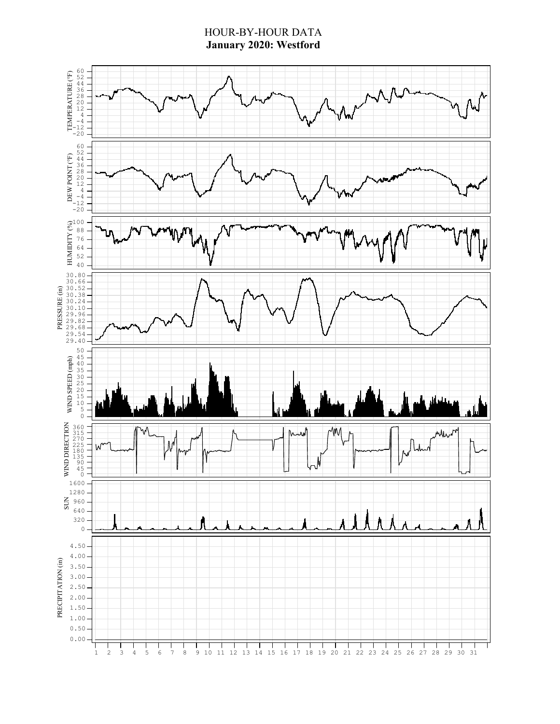### HOUR-BY-HOUR DATA **January 2020: Westford**